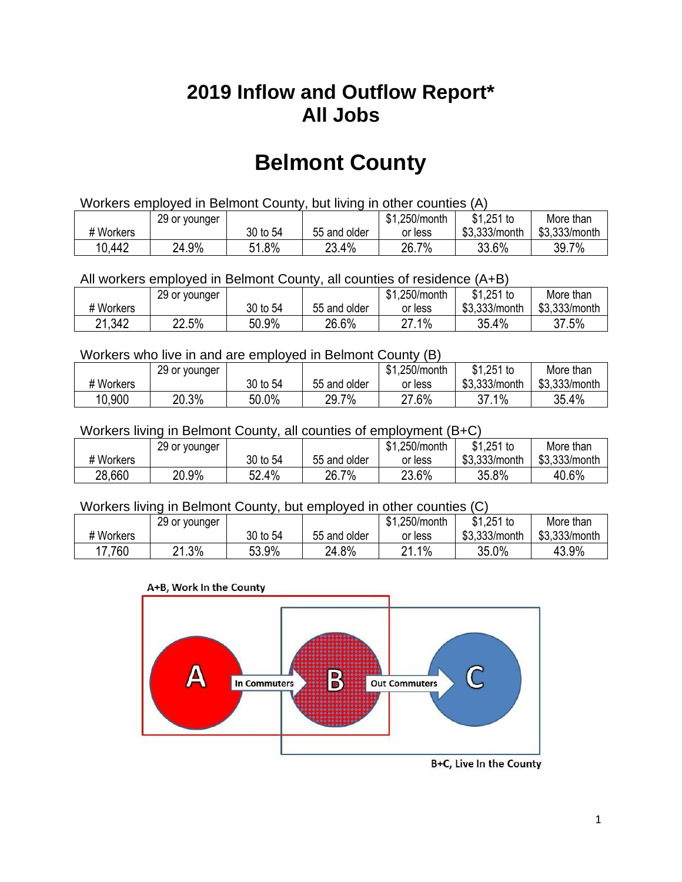## **2019 Inflow and Outflow Report\* All Jobs**

# **Belmont County**

| Workers employed in Belmont County, but living in other counties (A) |                                                            |          |              |         |               |               |  |  |  |
|----------------------------------------------------------------------|------------------------------------------------------------|----------|--------------|---------|---------------|---------------|--|--|--|
|                                                                      | $$1,251$ to<br>\$1.250/month<br>More than<br>29 or younger |          |              |         |               |               |  |  |  |
| # Workers                                                            |                                                            | 30 to 54 | 55 and older | or less | \$3.333/month | \$3.333/month |  |  |  |
| 10,442                                                               | 24.9%                                                      | 51.8%    | 23.4%        | 26.7%   | 33.6%         | 39.7%         |  |  |  |

All workers employed in Belmont County, all counties of residence (A+B)

|           | 29 or younger |          |              | \$1,250/month | \$1,251 to    | More than     |
|-----------|---------------|----------|--------------|---------------|---------------|---------------|
| # Workers |               | 30 to 54 | 55 and older | or less       | \$3,333/month | \$3,333/month |
| 21,342    | 22.5%         | 50.9%    | 26.6%        | 27.1%         | 35.4%         | 37.5%         |

#### Workers who live in and are employed in Belmont County (B)

|           | 29 or younger |          |              | \$1,250/month | $$1,251$ to   | More than     |
|-----------|---------------|----------|--------------|---------------|---------------|---------------|
| # Workers |               | 30 to 54 | 55 and older | or less       | \$3,333/month | \$3,333/month |
| 10,900    | 20.3%         | 50.0%    | 29.7%        | 27.6%         | 37.1%         | 35.4%         |

#### Workers living in Belmont County, all counties of employment (B+C)

|           | 29 or younger |          |              | \$1,250/month | \$1,251 to    | More than     |
|-----------|---------------|----------|--------------|---------------|---------------|---------------|
| # Workers |               | 30 to 54 | 55 and older | or less       | \$3,333/month | \$3,333/month |
| 28,660    | 20.9%         | 32.4%    | 26.7%        | 23.6%         | 35.8%         | 40.6%         |

#### Workers living in Belmont County, but employed in other counties (C)

|           | 29 or younger          |          |              | \$1,250/month | $$1,251$ to   | More than     |
|-----------|------------------------|----------|--------------|---------------|---------------|---------------|
| # Workers |                        | 30 to 54 | 55 and older | or less       | \$3,333/month | \$3,333/month |
| 7,760     | .3%<br>ດ 1<br><u>.</u> | 53.9%    | 24.8%        | $1\%$<br>ດ 4  | 35.0%         | 43.9%         |





B+C, Live In the County